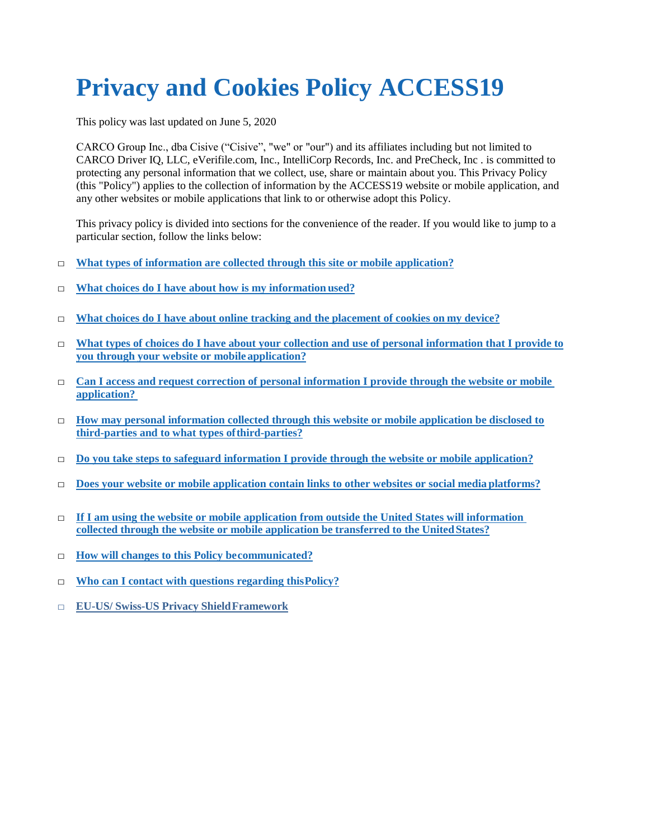# **Privacy and Cookies Policy ACCESS19**

This policy was last updated on June 5, 2020

CARCO Group Inc., dba Cisive ("Cisive", "we" or "our") and its affiliates including but not limited to CARCO Driver IQ, LLC, eVerifile.com, Inc., IntelliCorp Records, Inc. and PreCheck, Inc . is committed to protecting any personal information that we collect, use, share or maintain about you. This Privacy Policy (this "Policy") applies to the collection of information by the ACCESS19 website or mobile application, and any other websites or mobile applications that link to or otherwise adopt this Policy.

This privacy policy is divided into sections for the convenience of the reader. If you would like to jump to a particular section, follow the links below:

- □ **What types of information are collected through this site or mobile application?**
- □ **What choices do I have about how is my information used?**
- □ **What choices do I have about online tracking and the placement of cookies on my device?**
- □ **What types of choices do I have about your collection and use of personal information that I provide to you through your website or mobile application?**
- □ **Can I access and request correction of personal information I provide through the website or mobile application?**
- □ **How may personal information collected through this website or mobile application be disclosed to third-parties and to what types ofthird-parties?**
- □ **Do you take steps to safeguard information I provide through the website or mobile application?**
- □ **Does your website or mobile application contain links to other websites or social media platforms?**
- □ **If I am using the website or mobile application from outside the United States will information collected through the website or mobile application be transferred to the UnitedStates?**
- □ **How will changes to this Policy becommunicated?**
- □ **Who can I contact with questions regarding thisPolicy?**
- □ **EU-US/ Swiss-US Privacy ShieldFramework**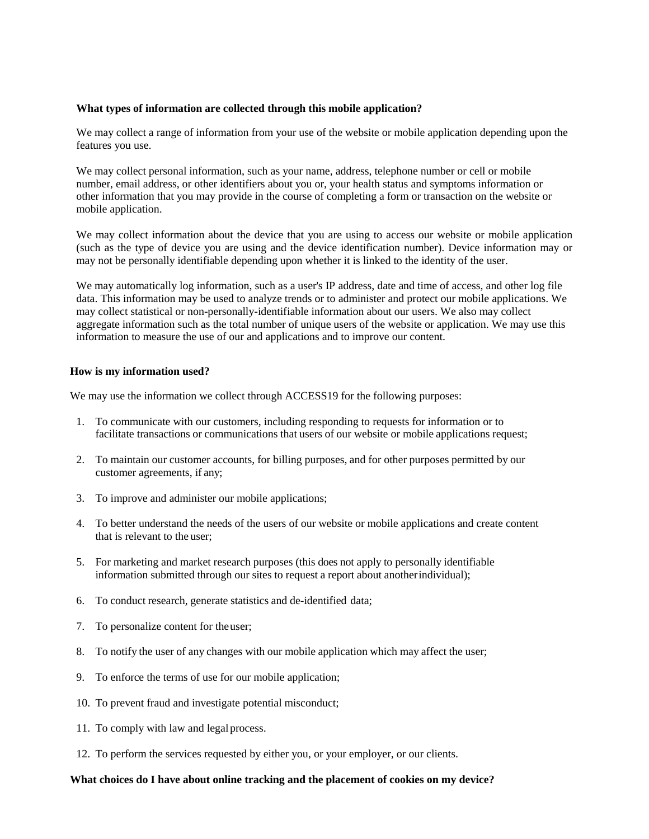### **What types of information are collected through this mobile application?**

We may collect a range of information from your use of the website or mobile application depending upon the features you use.

We may collect personal information, such as your name, address, telephone number or cell or mobile number, email address, or other identifiers about you or, your health status and symptoms information or other information that you may provide in the course of completing a form or transaction on the website or mobile application.

We may collect information about the device that you are using to access our website or mobile application (such as the type of device you are using and the device identification number). Device information may or may not be personally identifiable depending upon whether it is linked to the identity of the user.

We may automatically log information, such as a user's IP address, date and time of access, and other log file data. This information may be used to analyze trends or to administer and protect our mobile applications. We may collect statistical or non-personally-identifiable information about our users. We also may collect aggregate information such as the total number of unique users of the website or application. We may use this information to measure the use of our and applications and to improve our content.

### **How is my information used?**

We may use the information we collect through ACCESS19 for the following purposes:

- 1. To communicate with our customers, including responding to requests for information or to facilitate transactions or communications that users of our website or mobile applications request;
- 2. To maintain our customer accounts, for billing purposes, and for other purposes permitted by our customer agreements, if any;
- 3. To improve and administer our mobile applications;
- 4. To better understand the needs of the users of our website or mobile applications and create content that is relevant to the user;
- 5. For marketing and market research purposes (this does not apply to personally identifiable information submitted through our sites to request a report about anotherindividual);
- 6. To conduct research, generate statistics and de-identified data;
- 7. To personalize content for theuser;
- 8. To notify the user of any changes with our mobile application which may affect the user;
- 9. To enforce the terms of use for our mobile application;
- 10. To prevent fraud and investigate potential misconduct;
- 11. To comply with law and legalprocess.
- 12. To perform the services requested by either you, or your employer, or our clients.

#### **What choices do I have about online tracking and the placement of cookies on my device?**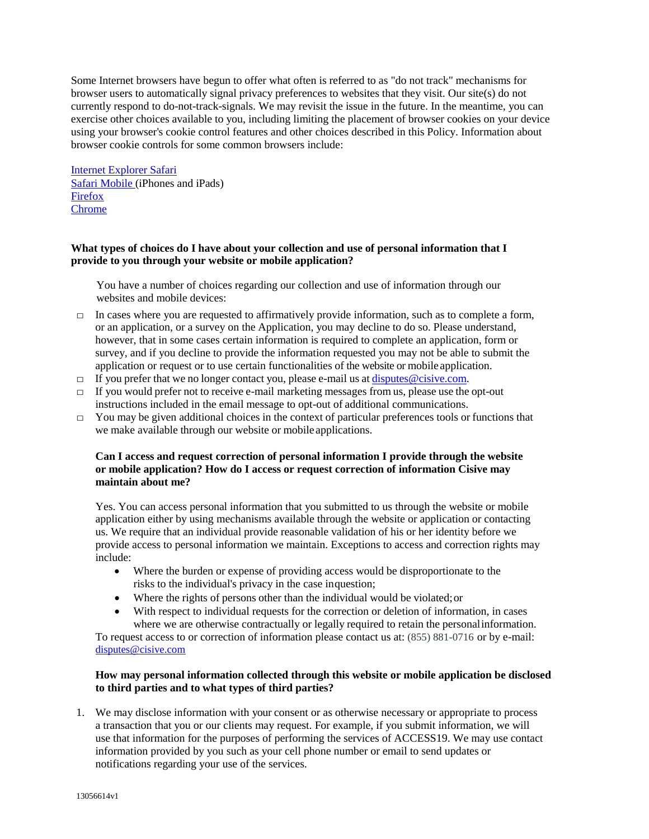Some Internet browsers have begun to offer what often is referred to as "do not track" mechanisms for browser users to automatically signal privacy preferences to websites that they visit. Our site(s) do not currently respond to do-not-track-signals. We may revisit the issue in the future. In the meantime, you can exercise other choices available to you, including limiting the placement of browser cookies on your device using your browser's cookie control features and other choices described in this Policy. Information about browser cookie controls for some common browsers include:

[Internet Explorer](http://windows.microsoft.com/en-US/internet-explorer/delete-manage-cookies#ie%3Die-10) [Safari](https://support.apple.com/kb/ph21411?locale=en_US) [Safari Mobile](http://support.apple.com/kb/HT1677) (iPhones and iPads) [Firefox](https://support.mozilla.org/en-US/kb/delete-cookies-remove-info-websites-stored) [Chrome](https://support.google.com/chrome/answer/95647?hl=en)

# **What types of choices do I have about your collection and use of personal information that I provide to you through your website or mobile application?**

You have a number of choices regarding our collection and use of information through our websites and mobile devices:

- $\Box$  In cases where you are requested to affirmatively provide information, such as to complete a form, or an application, or a survey on the Application, you may decline to do so. Please understand, however, that in some cases certain information is required to complete an application, form or survey, and if you decline to provide the information requested you may not be able to submit the application or request or to use certain functionalities of the website or mobile application.
- $\Box$  If you prefer that we no longer contact you, please e-mail us at  $disputes@cisive.com$ .
- $\Box$  If you would prefer not to receive e-mail marketing messages from us, please use the opt-out instructions included in the email message to opt-out of additional communications.
- $\Box$  You may be given additional choices in the context of particular preferences tools or functions that we make available through our website or mobile applications.

# **Can I access and request correction of personal information I provide through the website or mobile application? How do I access or request correction of information Cisive may maintain about me?**

Yes. You can access personal information that you submitted to us through the website or mobile application either by using mechanisms available through the website or application or contacting us. We require that an individual provide reasonable validation of his or her identity before we provide access to personal information we maintain. Exceptions to access and correction rights may include:

- Where the burden or expense of providing access would be disproportionate to the risks to the individual's privacy in the case inquestion;
- Where the rights of persons other than the individual would be violated;or
- With respect to individual requests for the correction or deletion of information, in cases where we are otherwise contractually or legally required to retain the personalinformation.

To request access to or correction of information please contact us at: (855) 881-0716 or by e-mail: [disputes@cisive.com](mailto:disputes@cisive.com)

# **How may personal information collected through this website or mobile application be disclosed to third parties and to what types of third parties?**

1. We may disclose information with your consent or as otherwise necessary or appropriate to process a transaction that you or our clients may request. For example, if you submit information, we will use that information for the purposes of performing the services of ACCESS19. We may use contact information provided by you such as your cell phone number or email to send updates or notifications regarding your use of the services.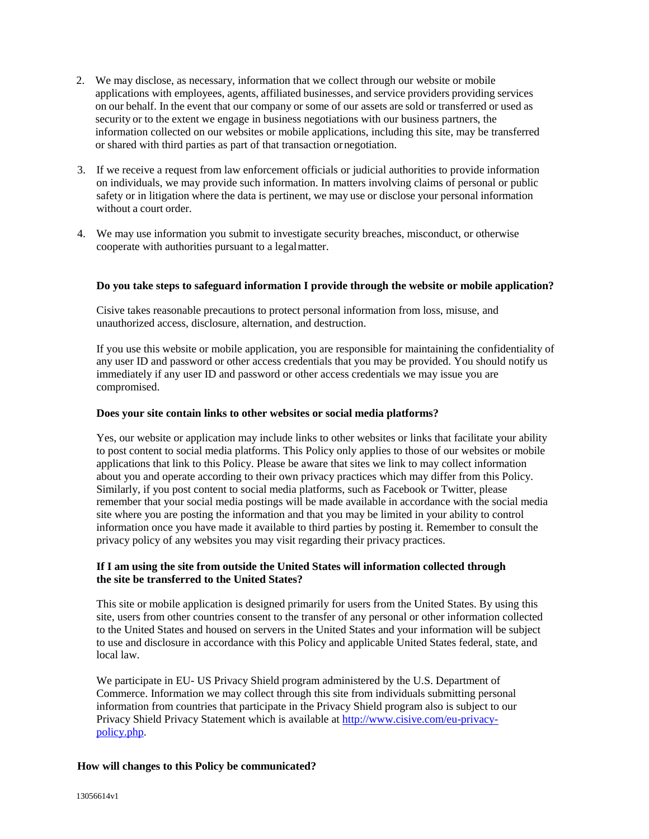- 2. We may disclose, as necessary, information that we collect through our website or mobile applications with employees, agents, affiliated businesses, and service providers providing services on our behalf. In the event that our company or some of our assets are sold or transferred or used as security or to the extent we engage in business negotiations with our business partners, the information collected on our websites or mobile applications, including this site, may be transferred or shared with third parties as part of that transaction ornegotiation.
- 3. If we receive a request from law enforcement officials or judicial authorities to provide information on individuals, we may provide such information. In matters involving claims of personal or public safety or in litigation where the data is pertinent, we may use or disclose your personal information without a court order.
- 4. We may use information you submit to investigate security breaches, misconduct, or otherwise cooperate with authorities pursuant to a legalmatter.

# **Do you take steps to safeguard information I provide through the website or mobile application?**

Cisive takes reasonable precautions to protect personal information from loss, misuse, and unauthorized access, disclosure, alternation, and destruction.

If you use this website or mobile application, you are responsible for maintaining the confidentiality of any user ID and password or other access credentials that you may be provided. You should notify us immediately if any user ID and password or other access credentials we may issue you are compromised.

### **Does your site contain links to other websites or social media platforms?**

Yes, our website or application may include links to other websites or links that facilitate your ability to post content to social media platforms. This Policy only applies to those of our websites or mobile applications that link to this Policy. Please be aware that sites we link to may collect information about you and operate according to their own privacy practices which may differ from this Policy. Similarly, if you post content to social media platforms, such as Facebook or Twitter, please remember that your social media postings will be made available in accordance with the social media site where you are posting the information and that you may be limited in your ability to control information once you have made it available to third parties by posting it. Remember to consult the privacy policy of any websites you may visit regarding their privacy practices.

## **If I am using the site from outside the United States will information collected through the site be transferred to the United States?**

This site or mobile application is designed primarily for users from the United States. By using this site, users from other countries consent to the transfer of any personal or other information collected to the United States and housed on servers in the United States and your information will be subject to use and disclosure in accordance with this Policy and applicable United States federal, state, and local law.

We participate in EU- US Privacy Shield program administered by the U.S. Department of Commerce. Information we may collect through this site from individuals submitting personal information from countries that participate in the Privacy Shield program also is subject to our Privacy Shield Privacy Statement which is available at [http://www.cisive.com/eu-privacy](http://www.cisive.com/eu-privacy-policy.php)[policy.php.](http://www.cisive.com/eu-privacy-policy.php)

### **How will changes to this Policy be communicated?**